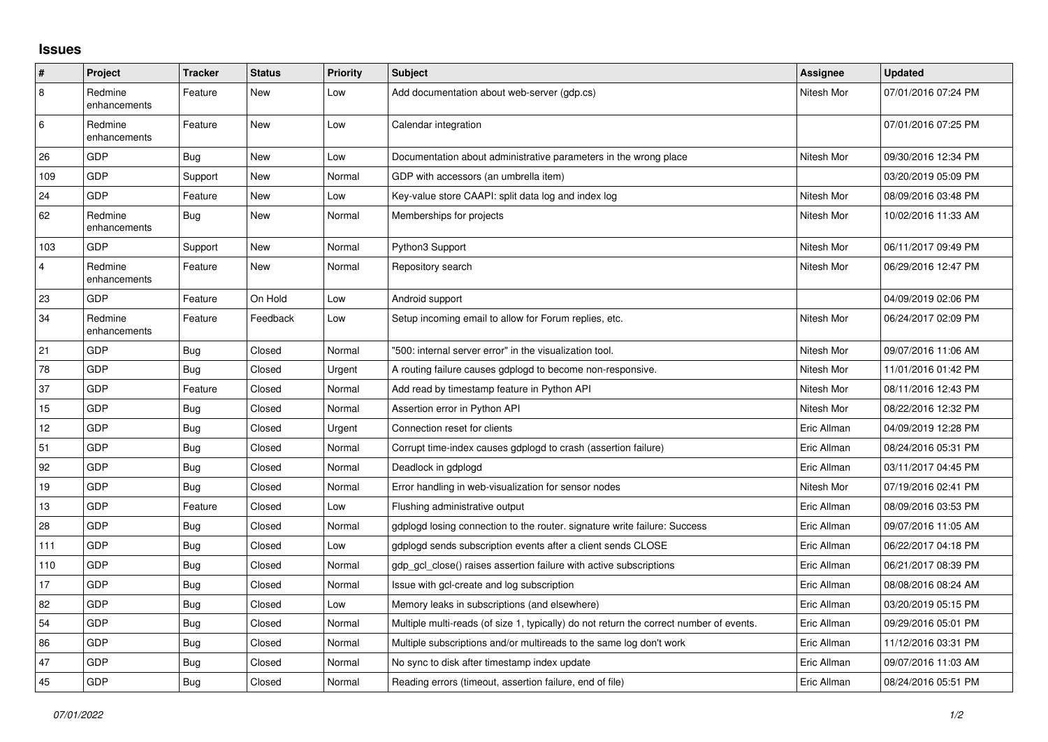## **Issues**

| #              | Project                 | <b>Tracker</b> | <b>Status</b> | <b>Priority</b> | <b>Subject</b>                                                                          | Assignee    | Updated             |
|----------------|-------------------------|----------------|---------------|-----------------|-----------------------------------------------------------------------------------------|-------------|---------------------|
| $\overline{8}$ | Redmine<br>enhancements | Feature        | New           | Low             | Add documentation about web-server (gdp.cs)                                             | Nitesh Mor  | 07/01/2016 07:24 PM |
| 6              | Redmine<br>enhancements | Feature        | New           | Low             | Calendar integration                                                                    |             | 07/01/2016 07:25 PM |
| 26             | GDP                     | <b>Bug</b>     | <b>New</b>    | Low             | Documentation about administrative parameters in the wrong place                        | Nitesh Mor  | 09/30/2016 12:34 PM |
| 109            | GDP                     | Support        | New           | Normal          | GDP with accessors (an umbrella item)                                                   |             | 03/20/2019 05:09 PM |
| 24             | GDP                     | Feature        | New           | Low             | Key-value store CAAPI: split data log and index log                                     | Nitesh Mor  | 08/09/2016 03:48 PM |
| 62             | Redmine<br>enhancements | Bug            | New           | Normal          | Memberships for projects                                                                | Nitesh Mor  | 10/02/2016 11:33 AM |
| 103            | GDP                     | Support        | New           | Normal          | Python3 Support                                                                         | Nitesh Mor  | 06/11/2017 09:49 PM |
| $\overline{4}$ | Redmine<br>enhancements | Feature        | New           | Normal          | Repository search                                                                       | Nitesh Mor  | 06/29/2016 12:47 PM |
| 23             | GDP                     | Feature        | On Hold       | Low             | Android support                                                                         |             | 04/09/2019 02:06 PM |
| 34             | Redmine<br>enhancements | Feature        | Feedback      | Low             | Setup incoming email to allow for Forum replies, etc.                                   | Nitesh Mor  | 06/24/2017 02:09 PM |
| 21             | <b>GDP</b>              | <b>Bug</b>     | Closed        | Normal          | '500: internal server error" in the visualization tool.                                 | Nitesh Mor  | 09/07/2016 11:06 AM |
| 78             | GDP                     | <b>Bug</b>     | Closed        | Urgent          | A routing failure causes gdplogd to become non-responsive.                              | Nitesh Mor  | 11/01/2016 01:42 PM |
| 37             | GDP                     | Feature        | Closed        | Normal          | Add read by timestamp feature in Python API                                             | Nitesh Mor  | 08/11/2016 12:43 PM |
| 15             | GDP                     | Bug            | Closed        | Normal          | Assertion error in Python API                                                           | Nitesh Mor  | 08/22/2016 12:32 PM |
| 12             | GDP                     | <b>Bug</b>     | Closed        | Urgent          | Connection reset for clients                                                            | Eric Allman | 04/09/2019 12:28 PM |
| 51             | GDP                     | <b>Bug</b>     | Closed        | Normal          | Corrupt time-index causes gdplogd to crash (assertion failure)                          | Eric Allman | 08/24/2016 05:31 PM |
| 92             | GDP                     | Bug            | Closed        | Normal          | Deadlock in gdplogd                                                                     | Eric Allman | 03/11/2017 04:45 PM |
| 19             | GDP                     | Bug            | Closed        | Normal          | Error handling in web-visualization for sensor nodes                                    | Nitesh Mor  | 07/19/2016 02:41 PM |
| 13             | GDP                     | Feature        | Closed        | Low             | Flushing administrative output                                                          | Eric Allman | 08/09/2016 03:53 PM |
| 28             | GDP                     | Bug            | Closed        | Normal          | gdplogd losing connection to the router, signature write failure: Success               | Eric Allman | 09/07/2016 11:05 AM |
| 111            | GDP                     | <b>Bug</b>     | Closed        | Low             | gdplogd sends subscription events after a client sends CLOSE                            | Eric Allman | 06/22/2017 04:18 PM |
| 110            | GDP                     | <b>Bug</b>     | Closed        | Normal          | gdp gcl close() raises assertion failure with active subscriptions                      | Eric Allman | 06/21/2017 08:39 PM |
| 17             | GDP                     | Bug            | Closed        | Normal          | Issue with gcl-create and log subscription                                              | Eric Allman | 08/08/2016 08:24 AM |
| 82             | GDP                     | <b>Bug</b>     | Closed        | Low             | Memory leaks in subscriptions (and elsewhere)                                           | Eric Allman | 03/20/2019 05:15 PM |
| 54             | GDP                     | Bug            | Closed        | Normal          | Multiple multi-reads (of size 1, typically) do not return the correct number of events. | Eric Allman | 09/29/2016 05:01 PM |
| 86             | GDP                     | <b>Bug</b>     | Closed        | Normal          | Multiple subscriptions and/or multireads to the same log don't work                     | Eric Allman | 11/12/2016 03:31 PM |
| 47             | GDP                     | Bug            | Closed        | Normal          | No sync to disk after timestamp index update                                            | Eric Allman | 09/07/2016 11:03 AM |
| 45             | GDP                     | <b>Bug</b>     | Closed        | Normal          | Reading errors (timeout, assertion failure, end of file)                                | Eric Allman | 08/24/2016 05:51 PM |